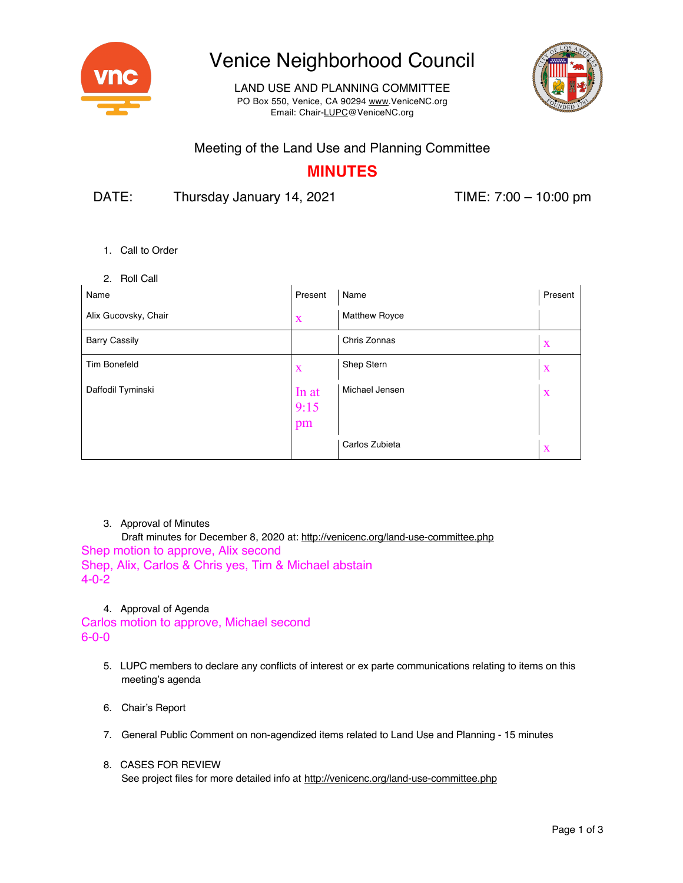

# Venice Neighborhood Council

LAND USE AND PLANNING COMMITTEE PO Box 550, Venice, CA 90294 www.VeniceNC.org Email: Chair-LUPC@VeniceNC.org



### Meeting of the Land Use and Planning Committee

## **MINUTES**

DATE: Thursday January 14, 2021 TIME: 7:00 – 10:00 pm

- 1. Call to Order
- 2. Roll Call

| Name                 | Present             | Name                 | Present     |
|----------------------|---------------------|----------------------|-------------|
| Alix Gucovsky, Chair | X                   | <b>Matthew Royce</b> |             |
| <b>Barry Cassily</b> |                     | Chris Zonnas         | $\mathbf X$ |
| <b>Tim Bonefeld</b>  | X                   | Shep Stern           | $\mathbf X$ |
| Daffodil Tyminski    | In at<br>9:15<br>pm | Michael Jensen       | $\mathbf X$ |
|                      |                     | Carlos Zubieta       | X           |

#### 3. Approval of Minutes

Draft minutes for December 8, 2020 at: http://venicenc.org/land-use-committee.php Shep motion to approve, Alix second Shep, Alix, Carlos & Chris yes, Tim & Michael abstain 4-0-2

4. Approval of Agenda

Carlos motion to approve, Michael second 6-0-0

- 5. LUPC members to declare any conflicts of interest or ex parte communications relating to items on this meeting's agenda
- 6. Chair's Report
- 7. General Public Comment on non-agendized items related to Land Use and Planning 15 minutes
- 8. CASES FOR REVIEW See project files for more detailed info at http://venicenc.org/land-use-committee.php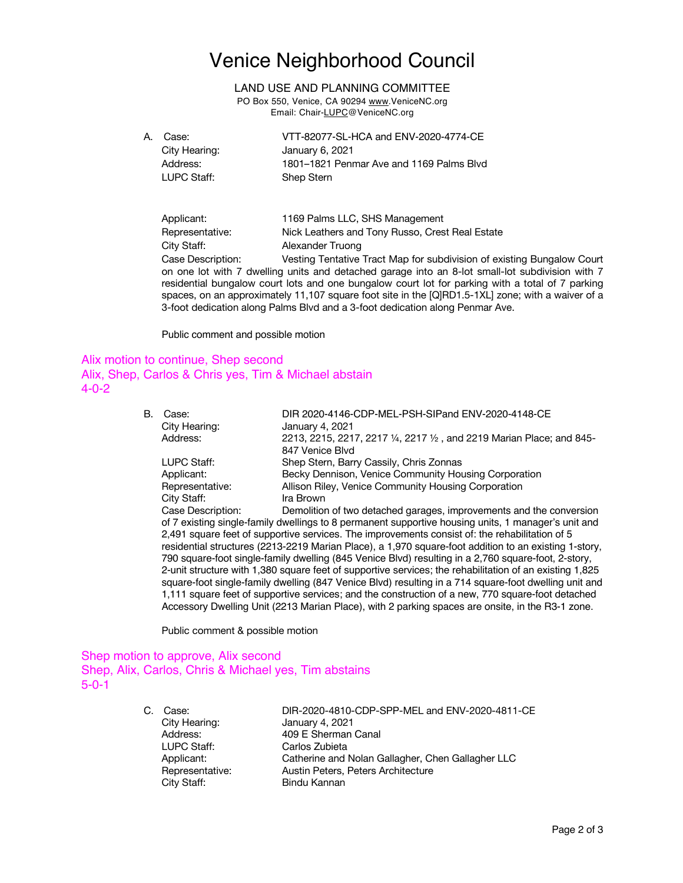# Venice Neighborhood Council

LAND USE AND PLANNING COMMITTEE

PO Box 550, Venice, CA 90294 www.VeniceNC.org Email: Chair-LUPC@VeniceNC.org

| A. | Case:         | VTT-82077-SL-HCA and ENV-2020-4774-CE    |
|----|---------------|------------------------------------------|
|    | City Hearing: | January 6, 2021                          |
|    | Address:      | 1801–1821 Penmar Ave and 1169 Palms Blyd |
|    | LUPC Staff:   | Shep Stern                               |

Applicant: 1169 Palms LLC, SHS Management Representative: Nick Leathers and Tony Russo, Crest Real Estate City Staff: Alexander Truong

Case Description: Vesting Tentative Tract Map for subdivision of existing Bungalow Court on one lot with 7 dwelling units and detached garage into an 8-lot small-lot subdivision with 7 residential bungalow court lots and one bungalow court lot for parking with a total of 7 parking spaces, on an approximately 11,107 square foot site in the [Q]RD1.5-1XL] zone; with a waiver of a 3-foot dedication along Palms Blvd and a 3-foot dedication along Penmar Ave.

Public comment and possible motion

### Alix motion to continue, Shep second Alix, Shep, Carlos & Chris yes, Tim & Michael abstain 4-0-2

| В.                                                                                                                                                                                                                                                                                                                      | Case:                                                                                               | DIR 2020-4146-CDP-MEL-PSH-SIPand ENV-2020-4148-CE                                                     |  |  |  |
|-------------------------------------------------------------------------------------------------------------------------------------------------------------------------------------------------------------------------------------------------------------------------------------------------------------------------|-----------------------------------------------------------------------------------------------------|-------------------------------------------------------------------------------------------------------|--|--|--|
|                                                                                                                                                                                                                                                                                                                         | City Hearing:                                                                                       | January 4, 2021                                                                                       |  |  |  |
|                                                                                                                                                                                                                                                                                                                         | Address:                                                                                            | 2213, 2215, 2217, 2217 1/4, 2217 1/2, and 2219 Marian Place; and 845-                                 |  |  |  |
|                                                                                                                                                                                                                                                                                                                         |                                                                                                     | 847 Venice Blvd                                                                                       |  |  |  |
|                                                                                                                                                                                                                                                                                                                         | LUPC Staff:                                                                                         | Shep Stern, Barry Cassily, Chris Zonnas                                                               |  |  |  |
|                                                                                                                                                                                                                                                                                                                         | Applicant:                                                                                          | Becky Dennison, Venice Community Housing Corporation                                                  |  |  |  |
|                                                                                                                                                                                                                                                                                                                         | Representative:                                                                                     | Allison Riley, Venice Community Housing Corporation                                                   |  |  |  |
|                                                                                                                                                                                                                                                                                                                         | City Staff:                                                                                         | Ira Brown                                                                                             |  |  |  |
|                                                                                                                                                                                                                                                                                                                         | Case Description:                                                                                   | Demolition of two detached garages, improvements and the conversion                                   |  |  |  |
|                                                                                                                                                                                                                                                                                                                         | of 7 existing single-family dwellings to 8 permanent supportive housing units, 1 manager's unit and |                                                                                                       |  |  |  |
|                                                                                                                                                                                                                                                                                                                         | 2,491 square feet of supportive services. The improvements consist of: the rehabilitation of 5      |                                                                                                       |  |  |  |
|                                                                                                                                                                                                                                                                                                                         |                                                                                                     | residential structures (2213-2219 Marian Place), a 1,970 square-foot addition to an existing 1-story, |  |  |  |
| 790 square-foot single-family dwelling (845 Venice Blvd) resulting in a 2,760 square-foot, 2-story,<br>2-unit structure with 1,380 square feet of supportive services; the rehabilitation of an existing 1,825<br>square-foot single-family dwelling (847 Venice Blvd) resulting in a 714 square-foot dwelling unit and |                                                                                                     |                                                                                                       |  |  |  |

1,111 square feet of supportive services; and the construction of a new, 770 square-foot detached Accessory Dwelling Unit (2213 Marian Place), with 2 parking spaces are onsite, in the R3-1 zone.

Public comment & possible motion

#### Shep motion to approve, Alix second Shep, Alix, Carlos, Chris & Michael yes, Tim abstains 5-0-1

C. Case: DIR-2020-4810-CDP-SPP-MEL and ENV-2020-4811-CE City Hearing: January 4, 2021 Address: 409 E Sherman Canal LUPC Staff: Carlos Zubieta Applicant: Catherine and Nolan Gallagher, Chen Gallagher LLC Representative: Austin Peters, Peters Architecture City Staff: Bindu Kannan